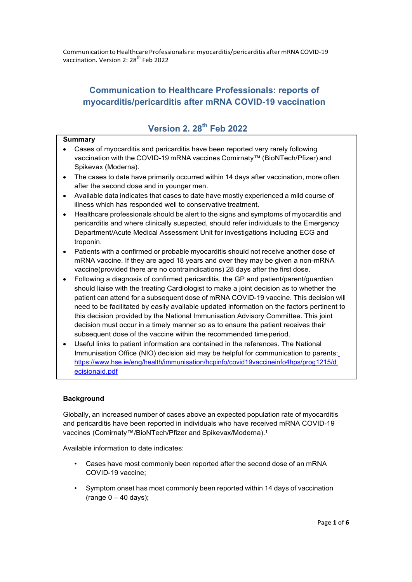Communication toHealthcare Professionalsre:myocarditis/pericarditis aftermRNACOVID‐19 vaccination. Version 2: 28<sup>th</sup> Feb 2022

# **Communication to Healthcare Professionals: reports of myocarditis/pericarditis after mRNA COVID-19 vaccination**

## **Version 2. 28th Feb 2022**

### **Summary**

- Cases of myocarditis and pericarditis have been reported very rarely following vaccination with the COVID-19 mRNA vaccines Comirnaty™ (BioNTech/Pfizer) and Spikevax (Moderna).
- The cases to date have primarily occurred within 14 days after vaccination, more often after the second dose and in younger men.
- Available data indicates that cases to date have mostly experienced a mild course of illness which has responded well to conservative treatment.
- Healthcare professionals should be alert to the signs and symptoms of myocarditis and pericarditis and where clinically suspected, should refer individuals to the Emergency Department/Acute Medical Assessment Unit for investigations including ECG and troponin.
- Patients with a confirmed or probable myocarditis should not receive another dose of mRNA vaccine. If they are aged 18 years and over they may be given a non-mRNA vaccine(provided there are no contraindications) 28 days after the first dose.
- Following a diagnosis of confirmed pericarditis, the GP and patient/parent/guardian should liaise with the treating Cardiologist to make a joint decision as to whether the patient can attend for a subsequent dose of mRNA COVID-19 vaccine. This decision will need to be facilitated by easily available updated information on the factors pertinent to this decision provided by the National Immunisation Advisory Committee. This joint decision must occur in a timely manner so as to ensure the patient receives their subsequent dose of the vaccine within the recommended time period.
- Useful links to patient information are contained in the references. The National Immunisation Office (NIO) decision aid may be helpful for communication to parents: https://www.hse.ie/eng/health/immunisation/hcpinfo/covid19vaccineinfo4hps/prog1215/d ecisionaid.pdf

## **Background**

Globally, an increased number of cases above an expected population rate of myocarditis and pericarditis have been reported in individuals who have received mRNA COVID-19 vaccines (Comirnaty™/BioNTech/Pfizer and Spikevax/Moderna).1

Available information to date indicates:

- Cases have most commonly been reported after the second dose of an mRNA COVID-19 vaccine;
- Symptom onset has most commonly been reported within 14 days of vaccination (range  $0 - 40$  days);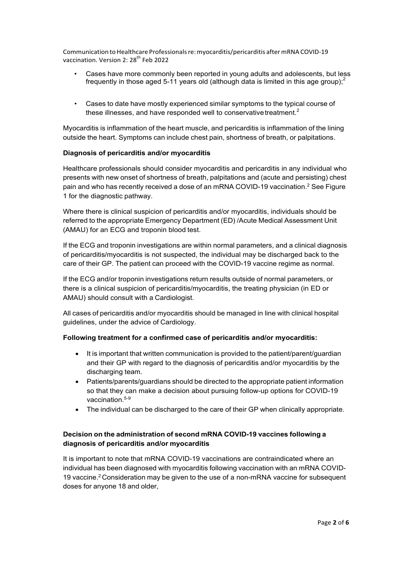Communication toHealthcare Professionalsre:myocarditis/pericarditis aftermRNACOVID‐19 vaccination. Version 2: 28<sup>th</sup> Feb 2022

- Cases have more commonly been reported in young adults and adolescents, but less frequently in those aged 5-11 years old (although data is limited in this age group); $2$
- Cases to date have mostly experienced similar symptoms to the typical course of these illnesses, and have responded well to conservative treatment. $2$

Myocarditis is inflammation of the heart muscle, and pericarditis is inflammation of the lining outside the heart. Symptoms can include chest pain, shortness of breath, or palpitations.

#### **Diagnosis of pericarditis and/or myocarditis**

Healthcare professionals should consider myocarditis and pericarditis in any individual who presents with new onset of shortness of breath, palpitations and (acute and persisting) chest pain and who has recently received a dose of an mRNA COVID-19 vaccination.<sup>2</sup> See Figure 1 for the diagnostic pathway.

Where there is clinical suspicion of pericarditis and/or myocarditis, individuals should be referred to the appropriate Emergency Department (ED) /Acute Medical Assessment Unit (AMAU) for an ECG and troponin blood test.

If the ECG and troponin investigations are within normal parameters, and a clinical diagnosis of pericarditis/myocarditis is not suspected, the individual may be discharged back to the care of their GP. The patient can proceed with the COVID-19 vaccine regime as normal.

If the ECG and/or troponin investigations return results outside of normal parameters, or there is a clinical suspicion of pericarditis/myocarditis, the treating physician (in ED or AMAU) should consult with a Cardiologist.

All cases of pericarditis and/or myocarditis should be managed in line with clinical hospital guidelines, under the advice of Cardiology.

#### **Following treatment for a confirmed case of pericarditis and/or myocarditis:**

- It is important that written communication is provided to the patient/parent/guardian and their GP with regard to the diagnosis of pericarditis and/or myocarditis by the discharging team.
- Patients/parents/guardians should be directed to the appropriate patient information so that they can make a decision about pursuing follow-up options for COVID-19 vaccination.<sup>5-9</sup>
- The individual can be discharged to the care of their GP when clinically appropriate.

## **Decision on the administration of second mRNA COVID-19 vaccines following a diagnosis of pericarditis and/or myocarditis**

It is important to note that mRNA COVID-19 vaccinations are contraindicated where an individual has been diagnosed with myocarditis following vaccination with an mRNA COVID-19 vaccine.<sup>2</sup> Consideration may be given to the use of a non-mRNA vaccine for subsequent doses for anyone 18 and older,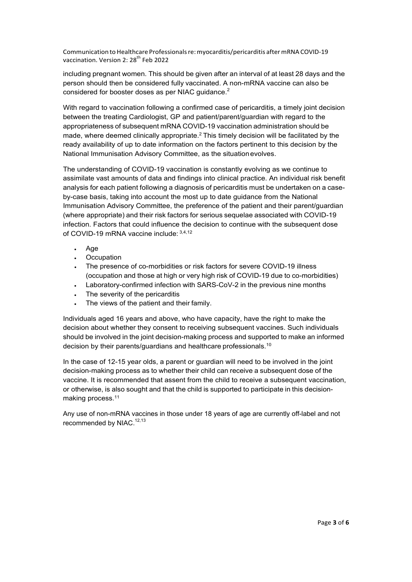Communication to Healthcare Professionals re: myocarditis/pericarditis after mRNA COVID-19 vaccination. Version 2: 28<sup>th</sup> Feb 2022

including pregnant women. This should be given after an interval of at least 28 days and the person should then be considered fully vaccinated. A non-mRNA vaccine can also be considered for booster doses as per NIAC guidance.<sup>2</sup>

With regard to vaccination following a confirmed case of pericarditis, a timely joint decision between the treating Cardiologist, GP and patient/parent/guardian with regard to the appropriateness of subsequent mRNA COVID-19 vaccination administration should be made, where deemed clinically appropriate.<sup>2</sup> This timely decision will be facilitated by the ready availability of up to date information on the factors pertinent to this decision by the National Immunisation Advisory Committee, as the situation evolves.

The understanding of COVID-19 vaccination is constantly evolving as we continue to assimilate vast amounts of data and findings into clinical practice. An individual risk benefit analysis for each patient following a diagnosis of pericarditis must be undertaken on a caseby-case basis, taking into account the most up to date guidance from the National Immunisation Advisory Committee, the preference of the patient and their parent/guardian (where appropriate) and their risk factors for serious sequelae associated with COVID-19 infection. Factors that could influence the decision to continue with the subsequent dose of COVID-19 mRNA vaccine include: 3,4,12

- Age
- Occupation
- The presence of co-morbidities or risk factors for severe COVID-19 illness (occupation and those at high or very high risk of COVID-19 due to co-morbidities)
- Laboratory-confirmed infection with SARS-CoV-2 in the previous nine months
- . The severity of the pericarditis
- The views of the patient and their family.

Individuals aged 16 years and above, who have capacity, have the right to make the decision about whether they consent to receiving subsequent vaccines. Such individuals should be involved in the joint decision-making process and supported to make an informed decision by their parents/guardians and healthcare professionals.<sup>10</sup>

In the case of 12-15 year olds, a parent or guardian will need to be involved in the joint decision-making process as to whether their child can receive a subsequent dose of the vaccine. It is recommended that assent from the child to receive a subsequent vaccination, or otherwise, is also sought and that the child is supported to participate in this decisionmaking process.11

Any use of non-mRNA vaccines in those under 18 years of age are currently off-label and not recommended by NIAC.<sup>12,13</sup>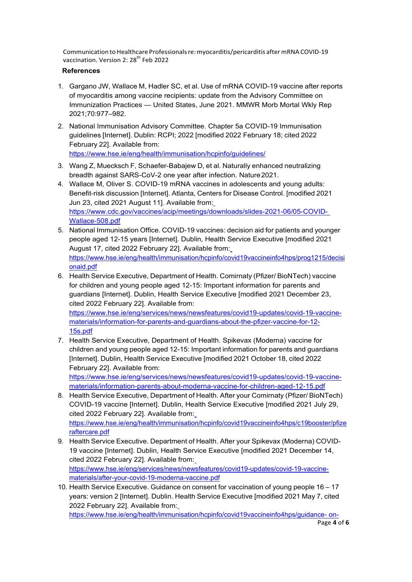Communication to Healthcare Professionals re: myocarditis/pericarditis after mRNA COVID-19 vaccination. Version 2: 28<sup>th</sup> Feb 2022

## **References**

- 1. Gargano JW, Wallace M, Hadler SC, et al. Use of mRNA COVID-19 vaccine after reports of myocarditis among vaccine recipients: update from the Advisory Committee on Immunization Practices — United States, June 2021. MMWR Morb Mortal Wkly Rep 2021;70:977–982.
- 2. National Immunisation Advisory Committee. Chapter 5a COVID-19 Immunisation guidelines [Internet]. Dublin: RCPI; 2022 [modified 2022 February 18; cited 2022 February 22]. Available from: https://www.hse.ie/eng/health/immunisation/hcpinfo/guidelines/
- 3. Wang Z, Muecksch F, Schaefer-Babajew D, et al. Naturally enhanced neutralizing breadth against SARS-CoV-2 one year after infection. Nature 2021.
- 4. Wallace M, Oliver S. COVID-19 mRNA vaccines in adolescents and young adults: Benefit-risk discussion [Internet]. Atlanta, Centers for Disease Control. [modified 2021 Jun 23, cited 2021 August 11]. Available from: https://www.cdc.gov/vaccines/acip/meetings/downloads/slides-2021-06/05-COVID-Wallace-508.pdf
- 5. National Immunisation Office. COVID-19 vaccines: decision aid for patients and younger people aged 12-15 years [Internet]. Dublin, Health Service Executive [modified 2021 August 17, cited 2022 February 22]. Available from: https://www.hse.ie/eng/health/immunisation/hcpinfo/covid19vaccineinfo4hps/prog1215/decisi onaid.pdf
- 6. Health Service Executive, Department of Health. Comirnaty (Pfizer/ BioNTech) vaccine for children and young people aged 12-15: Important information for parents and guardians [Internet]. Dublin, Health Service Executive [modified 2021 December 23, cited 2022 February 22]. Available from:

https://www.hse.ie/eng/services/news/newsfeatures/covid19-updates/covid-19-vaccinematerials/information-for-parents-and-guardians-about-the-pfizer-vaccine-for-12- 15s.pdf

7. Health Service Executive, Department of Health. Spikevax (Moderna) vaccine for children and young people aged 12-15: Important information for parents and guardians [Internet]. Dublin, Health Service Executive [modified 2021 October 18, cited 2022 February 22]. Available from:

https://www.hse.ie/eng/services/news/newsfeatures/covid19-updates/covid-19-vaccinematerials/information-parents-about-moderna-vaccine-for-children-aged-12-15.pdf

- 8. Health Service Executive, Department of Health. After your Comirnaty (Pfizer/ BioNTech) COVID-19 vaccine [Internet]. Dublin, Health Service Executive [modified 2021 July 29, cited 2022 February 22]. Available from: https://www.hse.ie/eng/health/immunisation/hcpinfo/covid19vaccineinfo4hps/c19booster/pfize raftercare.pdf
- 9. Health Service Executive. Department of Health. After your Spikevax (Moderna) COVID-19 vaccine [Internet]. Dublin, Health Service Executive [modified 2021 December 14, cited 2022 February 22]. Available from: https://www.hse.ie/eng/services/news/newsfeatures/covid19-updates/covid-19-vaccinematerials/after-your-covid-19-moderna-vaccine.pdf
- 10. Health Service Executive. Guidance on consent for vaccination of young people 16 17 years: version 2 [Internet]. Dublin. Health Service Executive [modified 2021 May 7, cited 2022 February 22]. Available from:

https://www.hse.ie/eng/health/immunisation/hcpinfo/covid19vaccineinfo4hps/guidance- on-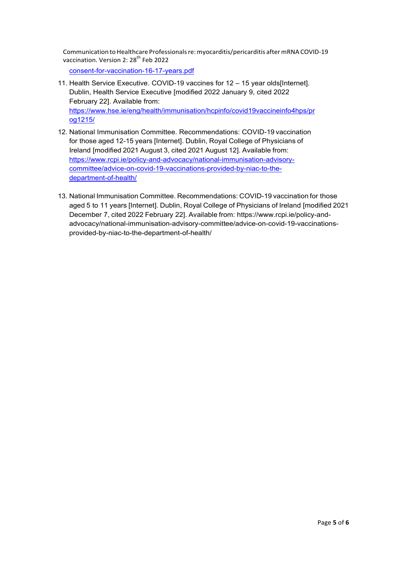Communication to Healthcare Professionals re: myocarditis/pericarditis after mRNA COVID-19 vaccination. Version 2: 28<sup>th</sup> Feb 2022

consent-for-vaccination-16-17-years.pdf

- 11. Health Service Executive. COVID-19 vaccines for 12 15 year olds[Internet]. Dublin, Health Service Executive [modified 2022 January 9, cited 2022 February 22]. Available from: https://www.hse.ie/eng/health/immunisation/hcpinfo/covid19vaccineinfo4hps/pr og1215/
- 12. National Immunisation Committee. Recommendations: COVID-19 vaccination for those aged 12-15 years [Internet]. Dublin, Royal College of Physicians of Ireland [modified 2021 August 3, cited 2021 August 12]. Available from: https://www.rcpi.ie/policy-and-advocacy/national-immunisation-advisorycommittee/advice-on-covid-19-vaccinations-provided-by-niac-to-thedepartment-of-health/
- 13. National Immunisation Committee. Recommendations: COVID-19 vaccination for those aged 5 to 11 years [Internet]. Dublin, Royal College of Physicians of Ireland [modified 2021 December 7, cited 2022 February 22]. Available from: https://www.rcpi.ie/policy-andadvocacy/national-immunisation-advisory-committee/advice-on-covid-19-vaccinationsprovided-by-niac-to-the-department-of-health/